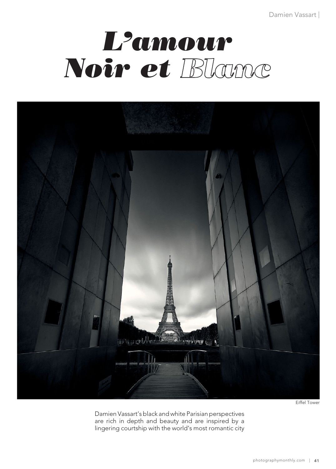# *L'amour Noir et*



Eiffel Tower

Damien Vassart's black and white Parisian perspectives are rich in depth and beauty and are inspired by a lingering courtship with the world's most romantic city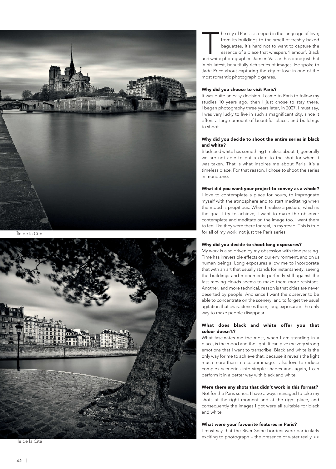

Île de la Cité



Île de la Cité

The city of Paris is steeped in the language of love;<br>
from its buildings to the smell of freshly baked<br>
baguettes. It's hard not to want to capture the<br>
essence of a place that whispers 'l'amour'. Black<br>
and white photogr from its buildings to the smell of freshly baked baguettes. It's hard not to want to capture the essence of a place that whispers 'l'amour'. Black

in his latest, beautifully rich series of images. He spoke to Jade Price about capturing the city of love in one of the most romantic photographic genres.

## **Why did you choose to visit Paris?**

It was quite an easy decision. I came to Paris to follow my studies 10 years ago, then I just chose to stay there. I began photography three years later, in 2007. I must say, I was very lucky to live in such a magnificent city, since it offers a large amount of beautiful places and buildings to shoot.

## **Why did you decide to shoot the entire series in black and white?**

Black and white has something timeless about it; generally we are not able to put a date to the shot for when it was taken. That is what inspires me about Paris, it's a timeless place. For that reason, I chose to shoot the series in monotone.

### **What did you want your project to convey as a whole?**

I love to contemplate a place for hours, to impregnate myself with the atmosphere and to start meditating when the mood is propitious. When I realise a picture, which is the goal I try to achieve, I want to make the observer contemplate and meditate on the image too. I want them to feel like they were there for real, in my stead. This is true for all of my work, not just the Paris series.

#### **Why did you decide to shoot long exposures?**

My work is also driven by my obsession with time passing. Time has irreversible effects on our environment, and on us human beings. Long exposures allow me to incorporate that with an art that usually stands for instantaneity; seeing the buildings and monuments perfectly still against the fast-moving clouds seems to make them more resistant. Another, and more technical, reason is that cities are never deserted by people. And since I want the observer to be able to concentrate on the scenery, and to forget the usual agitation that characterises them, long exposure is the only way to make people disappear.

## **What does black and white offer you that colour doesn't?**

What fascinates me the most, when I am standing in a place, is the mood and the light. It can give me very strong emotions that I want to transcribe. Black and white is the only way for me to achieve that, because it reveals the light much more than in a colour image. I also love to reduce complex sceneries into simple shapes and, again, I can perform it in a better way with black and white.

## **Were there any shots that didn't work in this format?**

Not for the Paris series. I have always managed to take my shots at the right moment and at the right place, and consequently the images I got were all suitable for black and white.

#### **What were your favourite features in Paris?**

I must say that the River Seine borders were particularly exciting to photograph – the presence of water really >>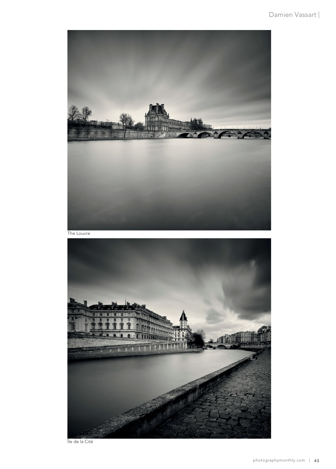

The Louvre



Île de la Cité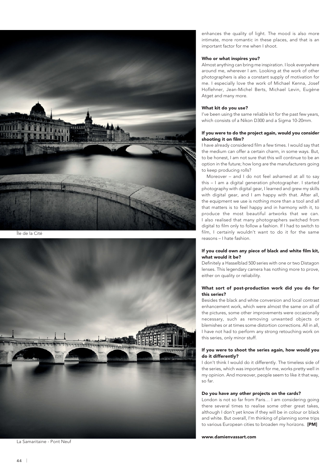

Île de la Cité



La Samaritaine - Pont Neuf

enhances the quality of light. The mood is also more intimate, more romantic in these places, and that is an important factor for me when I shoot.

## **Who or what inspires you?**

Almost anything can bring me inspiration. I look everywhere around me, wherever I am. Looking at the work of other photographers is also a constant supply of motivation for me. I especially love the work of Michael Kenna, Josef Hoflehner, Jean-Michel Berts, Michael Levin, Eugène Atget and many more.

## **What kit do you use?**

I've been using the same reliable kit for the past few years, which consists of a Nikon D300 and a Sigma 10-20mm.

## **If you were to do the project again, would you consider shooting it on film?**

I have already considered film a few times. I would say that the medium can offer a certain charm, in some ways. But, to be honest, I am not sure that this will continue to be an option in the future; how long are the manufacturers going to keep producing rolls?

Moreover – and I do not feel ashamed at all to say this – I am a digital generation photographer. I started photography with digital gear, I learned and grew my skills with digital gear, and I am happy with that. After all, the equipment we use is nothing more than a tool and all that matters is to feel happy and in harmony with it, to produce the most beautiful artworks that we can. I also realised that many photographers switched from digital to film only to follow a fashion. If I had to switch to film, I certainly wouldn't want to do it for the same reasons – I hate fashion.

# **If you could own any piece of black and white film kit, what would it be?**

Definitely a Hasselblad 500 series with one or two Distagon lenses. This legendary camera has nothing more to prove, either on quality or reliability.

# **What sort of post-production work did you do for this series?**

Besides the black and white conversion and local contrast enhancement work, which were almost the same on all of the pictures, some other improvements were occasionally necessary, such as removing unwanted objects or blemishes or at times some distortion corrections. All in all, I have not had to perform any strong retouching work on this series, only minor stuff.

## **If you were to shoot the series again, how would you do it differently?**

I don't think I would do it differently. The timeless side of the series, which was important for me, works pretty well in my opinion. And moreover, people seem to like it that way, so far.

#### **Do you have any other projects on the cards?**

London is not so far from Paris… I am considering going there several times to realise some other great takes, although I don't yet know if they will be in colour or black and white. But overall, I'm thinking of planning some trips to various European cities to broaden my horizons. **[PM]**

**www.damienvassart.com**